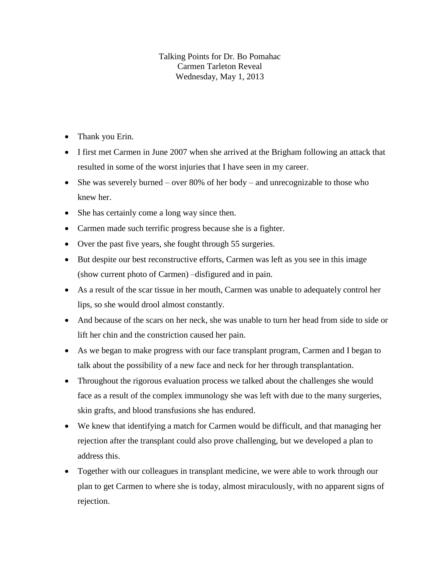## Talking Points for Dr. Bo Pomahac Carmen Tarleton Reveal Wednesday, May 1, 2013

- Thank you Erin.
- I first met Carmen in June 2007 when she arrived at the Brigham following an attack that resulted in some of the worst injuries that I have seen in my career.
- She was severely burned over 80% of her body and unrecognizable to those who knew her.
- She has certainly come a long way since then.
- Carmen made such terrific progress because she is a fighter.
- Over the past five years, she fought through 55 surgeries.
- But despite our best reconstructive efforts, Carmen was left as you see in this image (show current photo of Carmen) –disfigured and in pain.
- As a result of the scar tissue in her mouth, Carmen was unable to adequately control her lips, so she would drool almost constantly.
- And because of the scars on her neck, she was unable to turn her head from side to side or lift her chin and the constriction caused her pain.
- As we began to make progress with our face transplant program, Carmen and I began to talk about the possibility of a new face and neck for her through transplantation.
- Throughout the rigorous evaluation process we talked about the challenges she would face as a result of the complex immunology she was left with due to the many surgeries, skin grafts, and blood transfusions she has endured.
- We knew that identifying a match for Carmen would be difficult, and that managing her rejection after the transplant could also prove challenging, but we developed a plan to address this.
- Together with our colleagues in transplant medicine, we were able to work through our plan to get Carmen to where she is today, almost miraculously, with no apparent signs of rejection.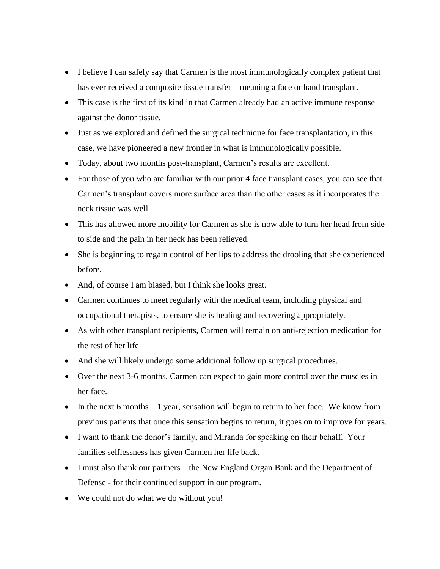- I believe I can safely say that Carmen is the most immunologically complex patient that has ever received a composite tissue transfer – meaning a face or hand transplant.
- This case is the first of its kind in that Carmen already had an active immune response against the donor tissue.
- Just as we explored and defined the surgical technique for face transplantation, in this case, we have pioneered a new frontier in what is immunologically possible.
- Today, about two months post-transplant, Carmen's results are excellent.
- For those of you who are familiar with our prior 4 face transplant cases, you can see that Carmen's transplant covers more surface area than the other cases as it incorporates the neck tissue was well.
- This has allowed more mobility for Carmen as she is now able to turn her head from side to side and the pain in her neck has been relieved.
- She is beginning to regain control of her lips to address the drooling that she experienced before.
- And, of course I am biased, but I think she looks great.
- Carmen continues to meet regularly with the medical team, including physical and occupational therapists, to ensure she is healing and recovering appropriately.
- As with other transplant recipients, Carmen will remain on anti-rejection medication for the rest of her life
- And she will likely undergo some additional follow up surgical procedures.
- Over the next 3-6 months, Carmen can expect to gain more control over the muscles in her face.
- In the next 6 months  $-1$  year, sensation will begin to return to her face. We know from previous patients that once this sensation begins to return, it goes on to improve for years.
- I want to thank the donor's family, and Miranda for speaking on their behalf. Your families selflessness has given Carmen her life back.
- I must also thank our partners the New England Organ Bank and the Department of Defense - for their continued support in our program.
- We could not do what we do without you!